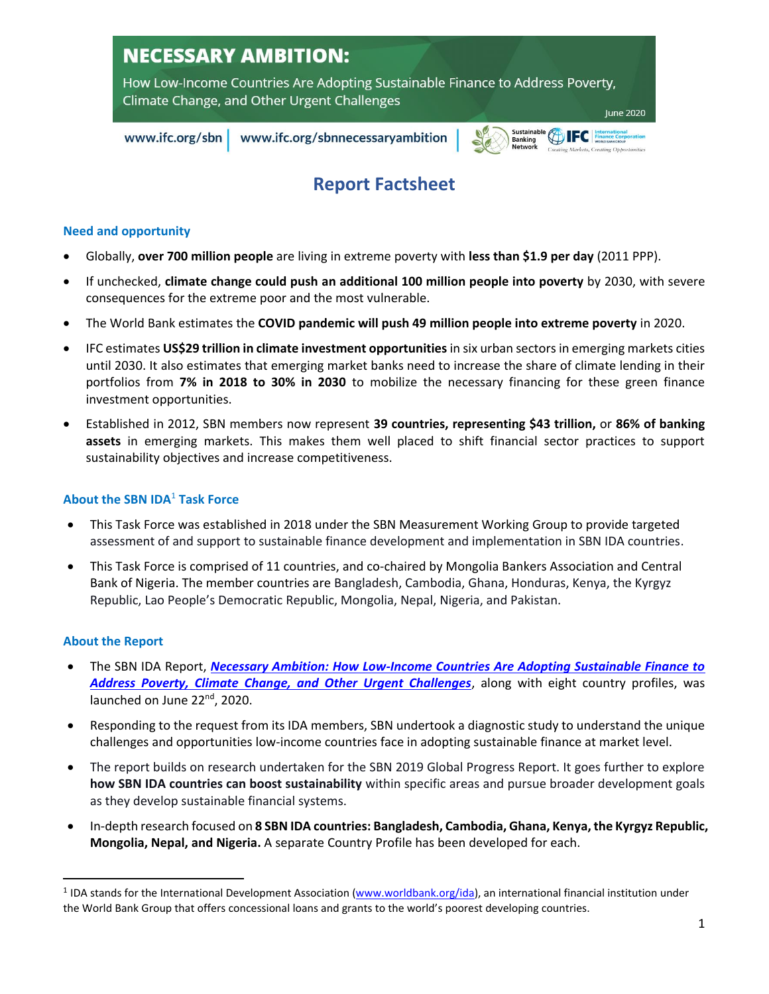# **NECESSARY AMBITION:**

How Low-Income Countries Are Adopting Sustainable Finance to Address Poverty, Climate Change, and Other Urgent Challenges **June 2020** 

www.ifc.org/sbn

www.ifc.org/sbnnecessaryambition

# **Report Factsheet**

Sustainal<br>Banking

VIEC

## **Need and opportunity**

- Globally, **over 700 million people** are living in extreme poverty with **less than \$1.9 per day** (2011 PPP).
- If unchecked, **climate change could push an additional 100 million people into poverty** by 2030, with severe consequences for the extreme poor and the most vulnerable.
- The World Bank estimates the **COVID pandemic will push 49 million people into extreme poverty** in 2020.
- IFC estimates **US\$29 trillion in climate investment opportunities**in six urban sectors in emerging markets cities until 2030. It also estimates that emerging market banks need to increase the share of climate lending in their portfolios from **7% in 2018 to 30% in 2030** to mobilize the necessary financing for these green finance investment opportunities.
- Established in 2012, SBN members now represent **39 countries, representing \$43 trillion,** or **86% of banking assets** in emerging markets. This makes them well placed to shift financial sector practices to support sustainability objectives and increase competitiveness.

## **About the SBN IDA**<sup>1</sup> **Task Force**

- This Task Force was established in 2018 under the SBN Measurement Working Group to provide targeted assessment of and support to sustainable finance development and implementation in SBN IDA countries.
- This Task Force is comprised of 11 countries, and co-chaired by Mongolia Bankers Association and Central Bank of Nigeria. The member countries are Bangladesh, Cambodia, Ghana, Honduras, Kenya, the Kyrgyz Republic, Lao People's Democratic Republic, Mongolia, Nepal, Nigeria, and Pakistan.

# **About the Report**

- The SBN IDA Report, *[Necessary Ambition: How Low-Income Countries Are Adopting Sustainable Finance to](http://www.ifc.org/sbnnecessaryambition)  [Address Poverty, Climate Change, and Other Urgent Challenges](http://www.ifc.org/sbnnecessaryambition)*, along with eight country profiles, was launched on June 22<sup>nd</sup>, 2020.
- Responding to the request from its IDA members, SBN undertook a diagnostic study to understand the unique challenges and opportunities low-income countries face in adopting sustainable finance at market level.
- The report builds on research undertaken for the SBN 2019 Global Progress Report. It goes further to explore **how SBN IDA countries can boost sustainability** within specific areas and pursue broader development goals as they develop sustainable financial systems.
- In-depth research focused on **8 SBN IDA countries: Bangladesh, Cambodia, Ghana, Kenya, the Kyrgyz Republic, Mongolia, Nepal, and Nigeria.** A separate Country Profile has been developed for each.

<sup>&</sup>lt;sup>1</sup> IDA stands for the International Development Association [\(www.worldbank.org/ida\)](http://www.worldbank.org/ida), an international financial institution under the World Bank Group that offers concessional loans and grants to the world's poorest developing countries.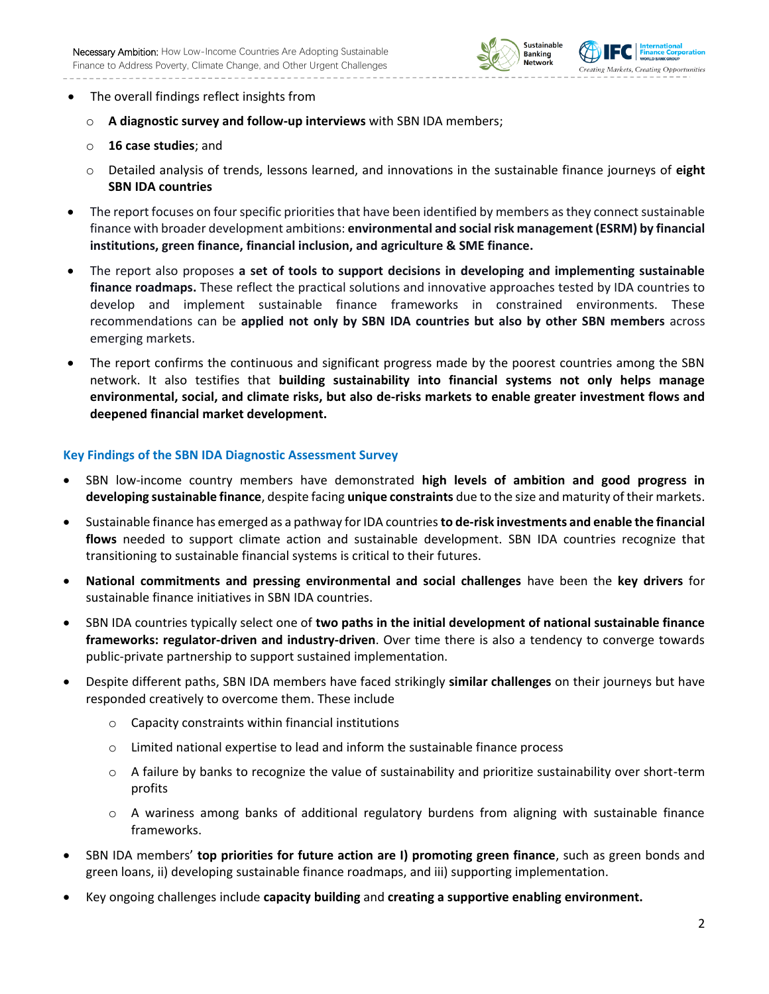



- o **A diagnostic survey and follow-up interviews** with SBN IDA members;
- o **16 case studies**; and
- o Detailed analysis of trends, lessons learned, and innovations in the sustainable finance journeys of **eight SBN IDA countries**
- The report focuses on four specific priorities that have been identified by members as they connect sustainable finance with broader development ambitions: **environmental and social risk management (ESRM) by financial institutions, green finance, financial inclusion, and agriculture & SME finance.**
- The report also proposes **a set of tools to support decisions in developing and implementing sustainable finance roadmaps.** These reflect the practical solutions and innovative approaches tested by IDA countries to develop and implement sustainable finance frameworks in constrained environments. These recommendations can be **applied not only by SBN IDA countries but also by other SBN members** across emerging markets.
- The report confirms the continuous and significant progress made by the poorest countries among the SBN network. It also testifies that **building sustainability into financial systems not only helps manage environmental, social, and climate risks, but also de-risks markets to enable greater investment flows and deepened financial market development.**

## **Key Findings of the SBN IDA Diagnostic Assessment Survey**

- SBN low-income country members have demonstrated **high levels of ambition and good progress in developing sustainable finance**, despite facing **unique constraints** due to the size and maturity of their markets.
- Sustainable finance has emerged as a pathway for IDA countries **to de-risk investments and enable the financial**  flows needed to support climate action and sustainable development. SBN IDA countries recognize that transitioning to sustainable financial systems is critical to their futures.
- **National commitments and pressing environmental and social challenges** have been the **key drivers** for sustainable finance initiatives in SBN IDA countries.
- SBN IDA countries typically select one of **two paths in the initial development of national sustainable finance frameworks: regulator-driven and industry-driven**. Over time there is also a tendency to converge towards public-private partnership to support sustained implementation.
- Despite different paths, SBN IDA members have faced strikingly **similar challenges** on their journeys but have responded creatively to overcome them. These include
	- o Capacity constraints within financial institutions
	- o Limited national expertise to lead and inform the sustainable finance process
	- o A failure by banks to recognize the value of sustainability and prioritize sustainability over short-term profits
	- o A wariness among banks of additional regulatory burdens from aligning with sustainable finance frameworks.
- SBN IDA members' **top priorities for future action are I) promoting green finance**, such as green bonds and green loans, ii) developing sustainable finance roadmaps, and iii) supporting implementation.
- Key ongoing challenges include **capacity building** and **creating a supportive enabling environment.**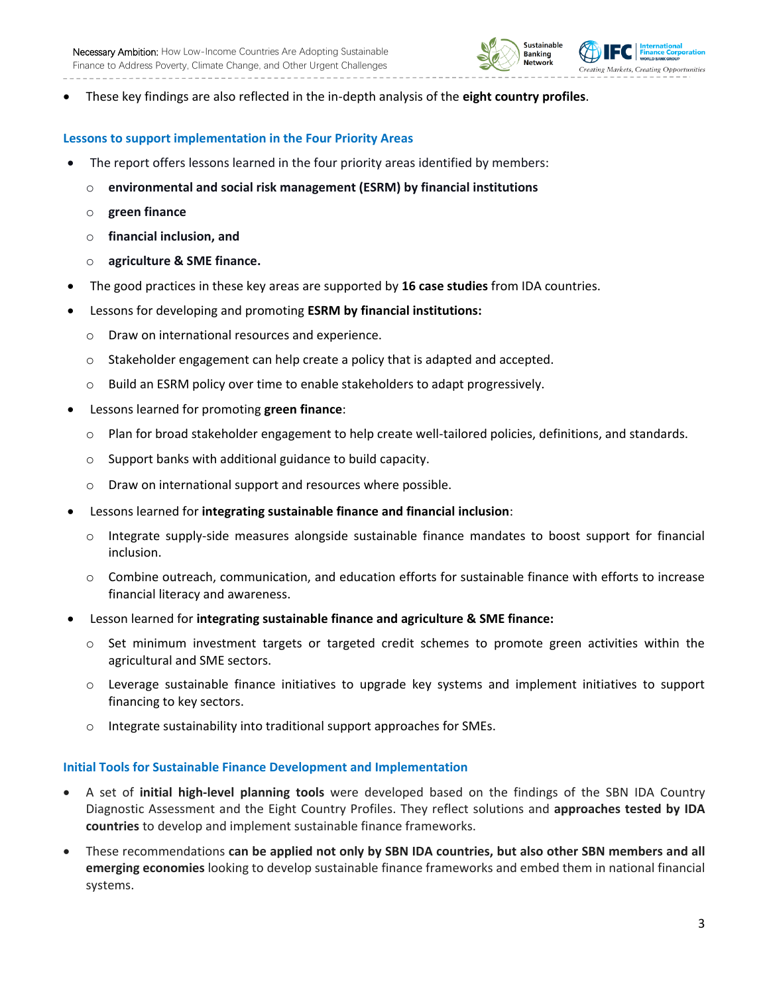



• These key findings are also reflected in the in-depth analysis of the **eight country profiles**.

## **Lessons to support implementation in the Four Priority Areas**

- The report offers lessons learned in the four priority areas identified by members:
	- o **environmental and social risk management (ESRM) by financial institutions**
	- o **green finance**
	- o **financial inclusion, and**
	- o **agriculture & SME finance.**
- The good practices in these key areas are supported by **16 case studies** from IDA countries.
- Lessons for developing and promoting **ESRM by financial institutions:**
	- o Draw on international resources and experience.
	- $\circ$  Stakeholder engagement can help create a policy that is adapted and accepted.
	- o Build an ESRM policy over time to enable stakeholders to adapt progressively.
- Lessons learned for promoting **green finance**:
	- o Plan for broad stakeholder engagement to help create well-tailored policies, definitions, and standards.
	- o Support banks with additional guidance to build capacity.
	- o Draw on international support and resources where possible.
- Lessons learned for **integrating sustainable finance and financial inclusion**:
	- o Integrate supply-side measures alongside sustainable finance mandates to boost support for financial inclusion.
	- o Combine outreach, communication, and education efforts for sustainable finance with efforts to increase financial literacy and awareness.
- Lesson learned for **integrating sustainable finance and agriculture & SME finance:**
	- o Set minimum investment targets or targeted credit schemes to promote green activities within the agricultural and SME sectors.
	- o Leverage sustainable finance initiatives to upgrade key systems and implement initiatives to support financing to key sectors.
	- o Integrate sustainability into traditional support approaches for SMEs.

## **Initial Tools for Sustainable Finance Development and Implementation**

- A set of **initial high-level planning tools** were developed based on the findings of the SBN IDA Country Diagnostic Assessment and the Eight Country Profiles. They reflect solutions and **approaches tested by IDA countries** to develop and implement sustainable finance frameworks.
- These recommendations **can be applied not only by SBN IDA countries, but also other SBN members and all emerging economies** looking to develop sustainable finance frameworks and embed them in national financial systems.